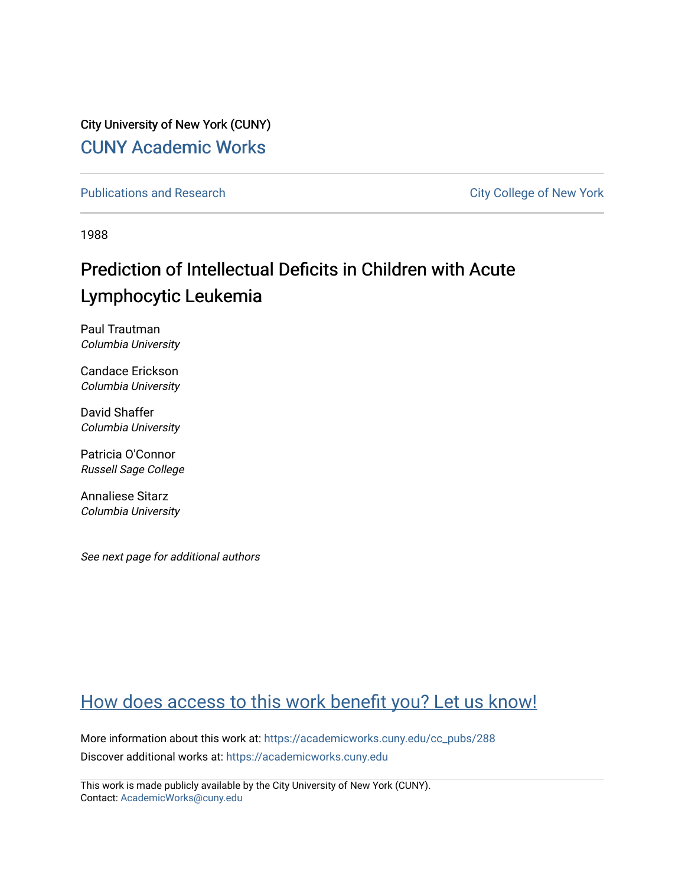City University of New York (CUNY) [CUNY Academic Works](https://academicworks.cuny.edu/) 

[Publications and Research](https://academicworks.cuny.edu/cc_pubs) **City College of New York** Publications and Research

1988

# Prediction of Intellectual Deficits in Children with Acute Lymphocytic Leukemia

Paul Trautman Columbia University

Candace Erickson Columbia University

David Shaffer Columbia University

Patricia O'Connor Russell Sage College

Annaliese Sitarz Columbia University

See next page for additional authors

## [How does access to this work benefit you? Let us know!](http://ols.cuny.edu/academicworks/?ref=https://academicworks.cuny.edu/cc_pubs/288)

More information about this work at: [https://academicworks.cuny.edu/cc\\_pubs/288](https://academicworks.cuny.edu/cc_pubs/288)  Discover additional works at: [https://academicworks.cuny.edu](https://academicworks.cuny.edu/?)

This work is made publicly available by the City University of New York (CUNY). Contact: [AcademicWorks@cuny.edu](mailto:AcademicWorks@cuny.edu)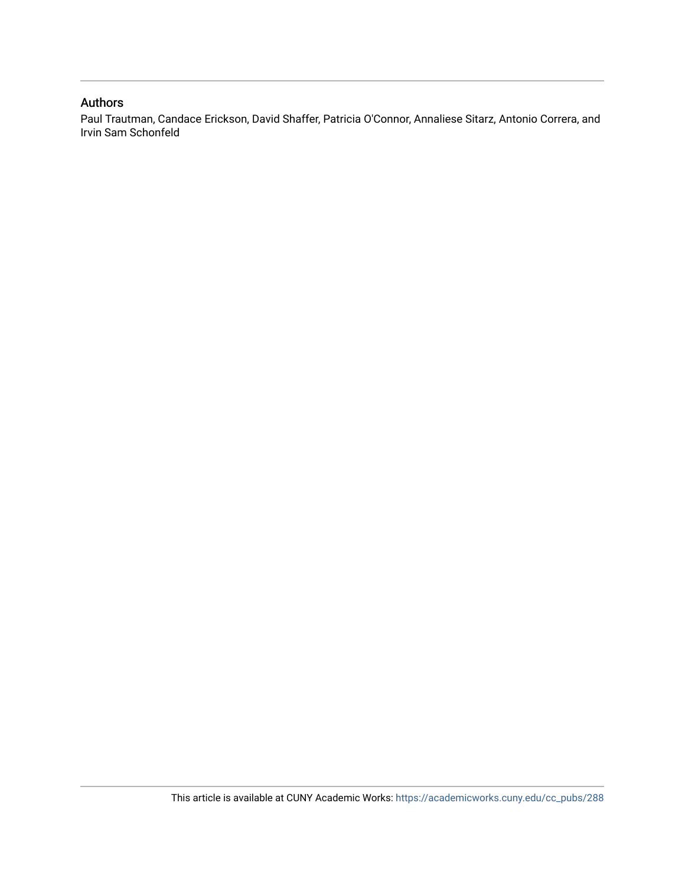## Authors

Paul Trautman, Candace Erickson, David Shaffer, Patricia O'Connor, Annaliese Sitarz, Antonio Correra, and Irvin Sam Schonfeld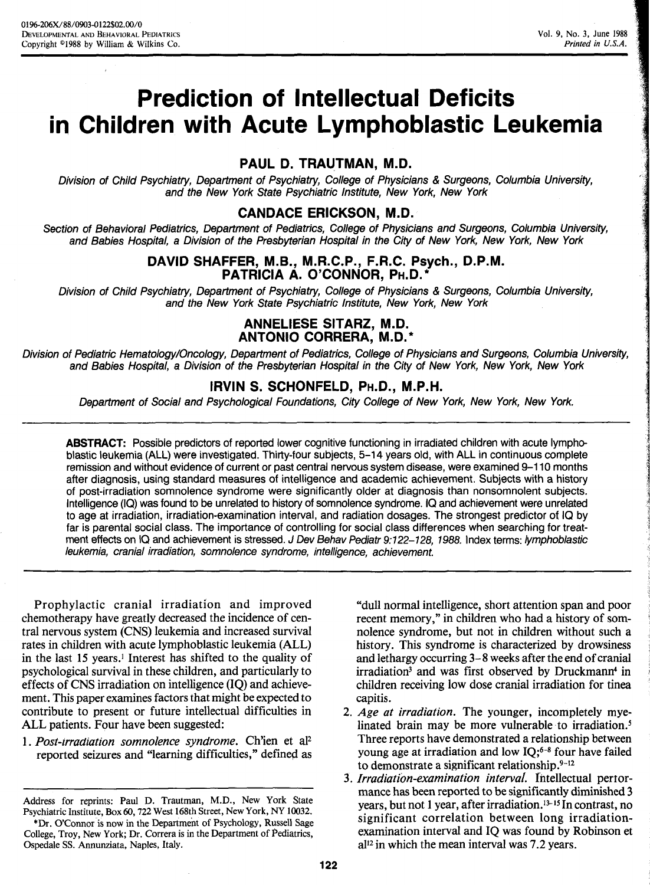l

j 164 and stati in de altres

land in the complete state of the state of the complete state of the complete

# **Prediction of Intellectual Deficits in Children with Acute Lymphoblastic Leukemia**

## **PAUL D. TRAUTMAN, M.D.**

Division of Child Psychiatry, Department of Psychiatry, College of Physicians & Surgeons, Columbia University, and the New York State Psychiatric Institute, New York, New York

### **CANDACE ERICKSON, M.D.**

Section of Behavioral Pediatrics, Department of Pediatrics, College of Physicians and Surgeons, Columbia University, and Babies Hospital, a Division of the Presbyterian Hospital in the City of New York, New York, New York

#### **DAVID SHAFFER, M.B., M.R.C.P., F.R.C. Psych., D.P.M. PATRICIA A. O'CONNOR, PH.D.** \*

Division of Child Psychiatry, Department of Psychiatry, College of Physicians & Surgeons, Columbia University, and the New York State Psychiatric Institute, New York, New York

## **ANNELIESE SITARZ, M.D. ANTONIO CORRERA, M.D.** \*

Division of Pediatric Hematology/Oncology, Department of Pediatrics, College of Physicians and Surgeons, Columbia University, and Babies Hospital, a Division of the Presbyterian Hospital in the City of New York, New York, New York

## **IRVIN S. SCHONFELD, PH.D., M.P.H.**

Department of Social and Psychological Foundations, City College of New York, New York, New York.

**ABSTRACT:** Possible predictors of reported lower cognitive functioning in irradiated children with acute lymphoblastic leukemia (ALL) were investigated. Thirty-four subjects, 5-14 years old, with ALL in continuous complete remission and without evidence of current or past central nervous system disease, were examined 9-11 O months after diagnosis, using standard measures of intelligence and academic achievement. Subjects with a history of post-irradiation somnolence syndrome were significantly older at diagnosis than nonsomnolent subjects. Intelligence (IQ) was found to be unrelated to history of somnolence syndrome. IQ and achievement were unrelated to age at irradiation, irradiation-examination interval, and radiation dosages. The strongest predictor ot IQ by far is parental social class. The importance of controlling for social class differences when searching for treatment effects on IQ and achievement is stressed. J Dev Behav Pediatr 9:122-128, 1988. Index terms: lymphoblastic leukemia, cranial irradiation, somnolence syndrome, intelligence, achievement.

Prophylactic cranial irradiation and improved chemotherapy have greatly decreased the incidence of central nervous system (CNS) leukemia and increased survival rates in children with acute lymphoblastic leukemia (ALL) in the last 15 years.<sup>1</sup> Interest has shifted to the quality of psychological survival in these children, and particularly to effects of CNS irradiation on intelligence (IQ) and achievement. This paper examines factors that might be expected to contribute to present or future intellectual difficulties in ALL patients. Four have been suggested:

I. *Post-irradiation somnolence syndrome.* Ch'ien et al2 reported seizures and "learning difficulties," defined as

"dull normal intelligence, short attention span and poor recent memory," in children who had a history of somnolence syndrome, but not in children without such a history. This syndrome is characterized by drowsiness and lethargy occurring 3-8 weeks after the end of cranial irradiation<sup>3</sup> and was first observed by Druckmann<sup>4</sup> in children receiving low dose cranial irradiation for tinea capitis.

- 2. *Age at irradiation.* The younger, incompletely myelinated brain may be more vulnerable to irradiation. *<sup>5</sup>* Three reports have demonstrated a relationship between young age at irradiation and low  $IQ;^{6-8}$  four have failed to demonstrate a significant relationship. $9-12$
- 3. *Irradiation-examination interval*. Intellectual pertormance has been reported to be significantly diminished 3 years, but not I year, after irradiation.13-is In contrast, no significant correlation between long irradiationexamination interval and IQ was found by Robinson et  $a<sup>12</sup>$  in which the mean interval was 7.2 years.

Address for reprints: Paul D. Trautman, M.D., New York State Psychiatric Institute, Box 60, 722 West l 68th Street, New York, NY 10032.

<sup>\*</sup>Dr. O'Connor is now in the Department of Psychology, Russell Sage College, Troy, New York; Dr. Correra is in the Department of Pediatrics, Ospedale SS. Annunziata, Naples, Italy.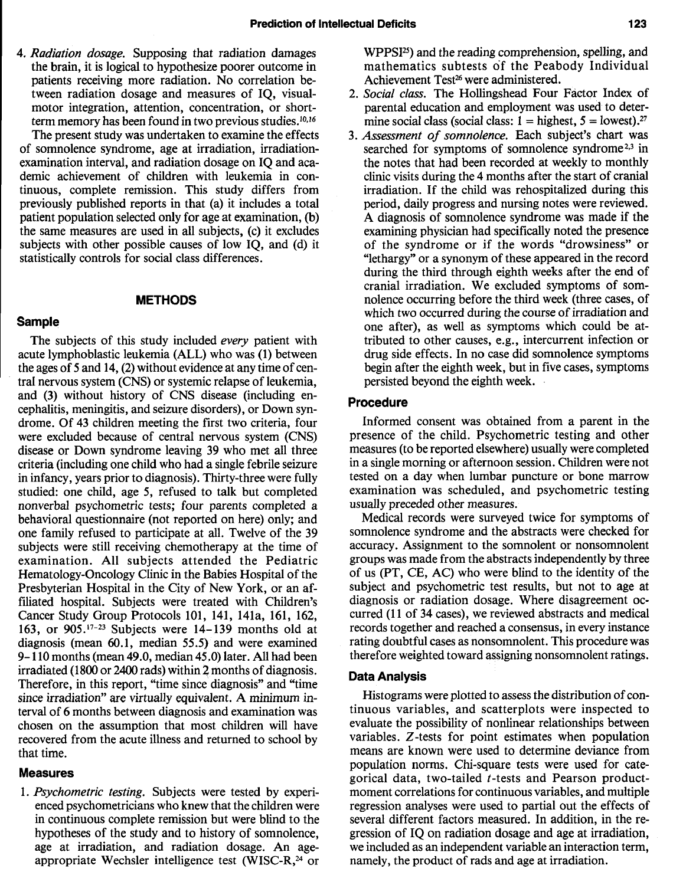4. *Radiation dosage.* Supposing that radiation damages the brain, it is logical to hypothesize poorer outcome in patients receiving more radiation. No correlation between radiation dosage and measures of IQ, visualmotor integration, attention, concentration, or shortterm memory has been found in two previous studies.<sup>10,16</sup>

The present study was undertaken to examine the effects of somnolence syndrome, age at irradiation, irradiationexamination interval, and radiation dosage on IQ and academic achievement of children with leukemia in continuous, complete remission. This study differs from previously published reports in that (a) it includes a total patient population selected only for age at examination, (b) the same measures are used in all subjects, (c) it excludes subjects with other possible causes of low IQ, and (d) it statistically controls for social class differences.

#### **METHODS**

#### **Sample**

The subjects of this study included *every* patient with acute lymphoblastic leukemia (ALL) who was (1) between the ages of 5 and 14, (2) without evidence at any time of central nervous system (CNS) or systemic relapse of leukemia, and (3) without history of CNS disease (including encephalitis, meningitis, and seizure disorders), or Down syndrome. Of 43 children meeting the first two criteria, four were excluded because of central nervous system (CNS) disease or Down syndrome leaving 39 who met all three criteria (including one child who had a single febrile seizure in infancy, years prior to diagnosis). Thirty-three were fully studied: one child, age 5, refused to talk but completed nonverbal psychometric tests; four parents completed a behavioral questionnaire (not reported on here) only; and one family refused to participate at all. Twelve of the 39 subjects were still receiving chemotherapy at the time of examination. All subjects attended the Pediatric Hematology-Oncology Clinic in the Babies Hospital of the Presbyterian Hospital in the City of New York, or an affiliated hospital. Subjects were treated with Children's Cancer Study Group Protocols 101, 141, 14la, 161, 162, 163, or  $905$ <sup>17-23</sup> Subjects were 14-139 months old at diagnosis (mean 60.1, median 55.5) and were examined 9-110 months (mean 49.0, median 45.0) later. All had been irradiated (1800 or 2400 rads) within 2 months of diagnosis. Therefore, in this report, "time since diagnosis" and "time since irradiation" are virtually equivalent. A minimum interval of 6 months between diagnosis and examination was chosen on the assumption that most children will have recovered from the acute illness and returned to school by that time.

#### **Measures**

1. *Psychometric testing.* Subjects were tested by experienced psychometricians who knew that the children were in continuous complete remission but were blind to the hypotheses of the study and to history of somnolence, age at irradiation, and radiation dosage. An ageappropriate Wechsler intelligence test (WISC-R,<sup>24</sup> or WPPSI<sup>25</sup>) and the reading comprehension, spelling, and mathematics subtests of the Peabody Individual Achievement Test<sup>26</sup> were administered.

- 2. *Social class.* The Hollingshead Four Factor Index of parental education and employment was used to determine social class (social class:  $1 =$ highest,  $5 =$ lowest).<sup>27</sup>
- 3. *Assessment of somnolence.* Each subject's chart was searched for symptoms of somnolence syndrome<sup>2,3</sup> in the notes that had been recorded at weekly to monthly clinic visits during the 4 months after the start of cranial irradiation. If the child was rehospitalized during this period, daily progress and nursing notes were reviewed. A diagnosis of somnolence syndrome was made if the examining physician had specifically noted the presence of the syndrome or if the words "drowsiness" or "lethargy" or a synonym of these appeared in the record during the third through eighth weeks after the end of cranial irradiation. We excluded symptoms of somnolence occurring before the third week (three cases, of which two occurred during the course of irradiation and one after), as well as symptoms which could be attributed to other causes, e.g., intercurrent infection or drug side effects. In no case did somnolence symptoms begin after the eighth week, but in five cases, symptoms persisted beyond the eighth week.

#### **Procedure**

Informed consent was obtained from a parent in the presence of the child. Psychometric testing and other measures (to be reported elsewhere) usually were completed in a single morning or afternoon session. Children were not tested on a day when lumbar puncture or bone marrow examination was scheduled, and psychometric testing usually preceded other measures.

Medical records were surveyed twice for symptoms of somnolence syndrome and the abstracts were checked for accuracy. Assignment to the somnolent or nonsomnolerit groups was made from the abstracts independently by three of us (PT, CE, AC) who were blind to the identity of the subject and psychometric test results, but not to age at diagnosis or radiation dosage. Where disagreement occurred (11 of 34 cases), we reviewed abstracts and medical records together and reached a consensus, in every instance rating doubtful cases as nonsomnolent. This procedure was therefore weighted toward assigning nonsomnolent ratings.

#### **Data Analysis**

Histograms were plotted to assess the distribution of continuous variables, and scatterplots were inspected to evaluate the possibility of nonlinear relationships between variables. Z-tests for point estimates when population means are known were used to determine deviance from population norms. Chi-square tests were used for categorical data, two-tailed *t-tests* and Pearson productmoment correlations for continuous variables, and multiple regression analyses were used to partial out the effects of several different factors measured. In addition, in the regression of IQ on radiation dosage and age at irradiation, we included as an independent variable an interaction term, namely, the product of rads and age at irradiation.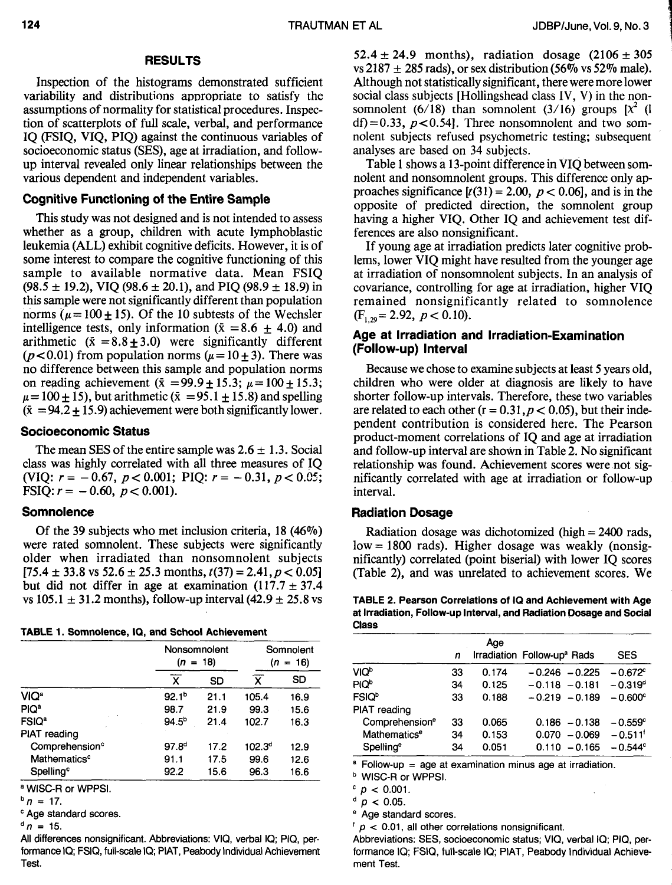المستحدد.<br>المستحدد

#### RESULTS

Inspection of the histograms demonstrated sufficient variability and distributions appropriate to satisfy the assumptions of normality for statistical procedures. Inspection of scatterplots of full scale, verbal, and performance IQ (FSIQ, VIQ, PIQ) against the continuous variables of socioeconomic status (SES), age at irradiation, and followup interval revealed only linear relationships between the various dependent and independent variables.

#### Cognitive Functioning of the Entire Sample

This study was not designed and is not intended to assess whether as a group, children with acute lymphoblastic leukemia (ALL) exhibit cognitive deficits. However, it is of some interest to compare the cognitive functioning of this sample to available normative data. Mean FSIQ  $(98.5 \pm 19.2)$ , VIQ  $(98.6 \pm 20.1)$ , and PIQ  $(98.9 \pm 18.9)$  in this sample were not significantly different than population norms ( $\mu = 100 \pm 15$ ). Of the 10 subtests of the Wechsler intelligence tests, only information ( $\bar{x} = 8.6 \pm 4.0$ ) and arithmetic  $(\bar{x} = 8.8 + 3.0)$  were significantly different ( $p < 0.01$ ) from population norms ( $\mu = 10 + 3$ ). There was no difference between this sample and population norms on reading achievement  $(\bar{x} = 99.9 \pm 15.3; \mu = 100 + 15.3; \sigma$  $\mu$  = 100  $\pm$  15), but arithmetic ( $\bar{x}$  = 95.1  $\pm$  15.8) and spelling  $(\bar{x} = 94.2 + 15.9)$  achievement were both significantly lower.

#### Socioeconomic Status

The mean SES of the entire sample was  $2.6 \pm 1.3$ . Social class was highly correlated with all three measures of IQ (VIQ:  $r = -0.67$ ,  $p < 0.001$ ; PIQ:  $r = -0.31$ ,  $p < 0.05$ ; FSIQ:  $r = -0.60, p < 0.001$ ).

#### Somnolence

Of the 39 subjects who met inclusion criteria,  $18 (46\%)$ were rated somnolent. These subjects were significantly older when irradiated than nonsomnolent subjects  $[75.4 \pm 33.8 \text{ vs } 52.6 \pm 25.3 \text{ months}, t(37) = 2.41, p < 0.05]$ but did not differ in age at examination  $(117.7 \pm 37.4$ vs  $105.1 \pm 31.2$  months), follow-up interval  $(42.9 \pm 25.8 \text{ vs } 10.2 \text{ m}$ 

TABLE 1. Somnolence, IQ, and School Achievement

|                            | Nonsomnolent<br>$(n = 18)$ |      | Somnolent<br>16)<br>(n<br>$=$ |      |
|----------------------------|----------------------------|------|-------------------------------|------|
|                            | X                          | SD   | x                             | SD   |
| VIQ <sup>a</sup>           | 92.1 <sup>b</sup>          | 21.1 | 105.4                         | 16.9 |
| PIQ <sup>a</sup>           | 98.7                       | 21.9 | 99.3                          | 15.6 |
| FSIQ <sup>a</sup>          | $94.5^{b}$                 | 21.4 | 102.7                         | 16.3 |
| <b>PIAT</b> reading        |                            |      |                               |      |
| Comprehension <sup>c</sup> | $97.8^{d}$                 | 17.2 | $102.3^{d}$                   | 12.9 |
| Mathematics <sup>c</sup>   | 91.1                       | 17.5 | 99.6                          | 12.6 |
| Spelling <sup>c</sup>      | 92.2                       | 15.6 | 96.3                          | 16.6 |

• WISC-R or WPPSI.

 $b_n = 17$ .

c Age standard scores.

```
^{d} n = 15.
```
All differences nonsignificant. Abbreviations: VIQ, verbal IQ; PIO, performance IQ; FSIQ, full-scale IQ; PIAT, Peabody Individual Achievement Test.

52.4  $\pm$  24.9 months), radiation dosage (2106  $\pm$  305 vs 2187  $\pm$  285 rads), or sex distribution (56% vs 52% male). Although not statistically significant, there were more lower social class subjects [Hollingshead class IV, V) in the nonsomnolent (6/18) than somnolent (3/16) groups  $\left[\chi^2\right]$  (1  $df$ =0.33, p<0.54]. Three nonsomnolent and two somnolent subjects refused psychometric testing; subsequent analyses are based on 34 subjects.

Table 1 shows a 13-point difference in VIQ between somnolent and nonsomnolent groups. This difference only approaches significance  $[t(31) = 2.00, p < 0.06]$ , and is in the opposite of predicted direction, the somnolent group having a higher VIQ. Other IQ and achievement test differences are also nonsignificant.

If young age at irradiation predicts later cognitive problems, lower VIQ might have resulted from the younger age at irradiation of nonsomnolent subjects. In an analysis of covariance, controlling for age at irradiation, higher VIQ remained nonsignificantly related to somnolence  $(F_{1,29}= 2.92, p < 0.10).$ 

### Age at Irradiation and Irradiation-Examination (Follow-up) Interval

Because we chose to examine subjects at least 5 years old, children who were older at diagnosis are likely to have shorter follow-up intervals. Therefore, these two variables are related to each other  $(r = 0.31, p < 0.05)$ , but their independent contribution is considered here. The Pearson product-moment correlations of IQ and age at irradiation and follow-up interval are shown in Table 2. No significant relationship was found. Achievement scores were not significantly correlated with age at irradiation or follow-up interval.

#### Radiation Dosage

Radiation dosage was dichotomized (high = 2400 rads, low= 1800 rads). Higher dosage was weakly (nonsignificantly) correlated (point biserial) with lower IQ scores (Table 2), and was unrelated to achievement scores. We

| TABLE 2. Pearson Correlations of IQ and Achievement with Age        |
|---------------------------------------------------------------------|
| at Irradiation. Follow-up Interval, and Radiation Dosage and Social |
| <b>Class</b>                                                        |

|                            | n  | Age   | Irradiation Follow-up <sup>a</sup> Rads | <b>SES</b>            |
|----------------------------|----|-------|-----------------------------------------|-----------------------|
|                            |    |       |                                         |                       |
| VIQ <sup>b</sup>           | 33 | 0.174 | $-0.246 - 0.225$                        | $-0.672c$             |
| PIQ <sup>b</sup>           | 34 | 0.125 | $-0.118 - 0.181$                        | $-0.319^{d}$          |
| <b>FSIQ</b> <sup>b</sup>   | 33 | 0.188 | $-0.219 - 0.189$                        | $-0.600^{\circ}$      |
| PIAT reading               |    |       |                                         |                       |
| Comprehension <sup>e</sup> | 33 | 0.065 | $0.186 - 0.138$                         | $-0.559c$             |
| Mathematics <sup>e</sup>   | 34 | 0.153 | $-0.069$<br>0.070                       | $-0.511$ <sup>t</sup> |
| Spelling®                  | 34 | 0.051 | $0.110 - 0.165$                         | $-0.544^{\circ}$      |

 $^{\circ}$  Follow-up = age at examination minus age at irradiation.

**b** WISC-R or WPPSI.

 $c$   $p$  < 0.001.

 $p < 0.05$ .

• Age standard scores.

 $\sigma$   $\alpha$  0.01, all other correlations nonsignificant.

Abbreviations: SES, socioeconomic status; VIQ, verbal IQ; PIO, performance IQ; FSIQ, full-scale IQ; PIAT, Peabody Individual Achievement Test.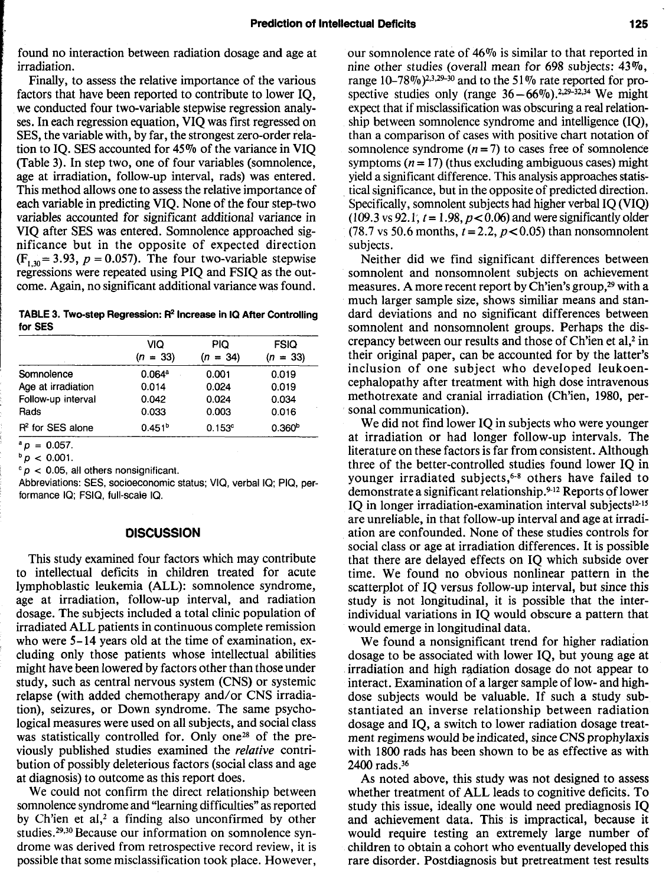found no interaction between radiation dosage and age at irradiation.

Finally, to assess the relative importance of the various factors that have been reported to contribute to lower IQ, we conducted four two-variable stepwise regression analyses. In each regression equation, VIQ was first regressed on SES, the variable with, by far, the strongest zero-order relation to IQ. SES accounted for 45% of the variance in VIQ (Table 3). In step two, one of four variables (somnolence, age at irradiation, follow-up interval, rads) was entered. This method allows one to assess the relative importance of each variable in predicting VIQ. None of the four step-two variables accounted for significant additional variance in VIQ after SES was entered. Somnolence approached significance but in the opposite of expected direction  $(F_{1,30} = 3.93, p = 0.057)$ . The four two-variable stepwise regressions were repeated using PIQ and FSIQ as the outcome. Again, no significant additional variance was found.

TABLE 3. Two-step Regression: R2 Increase in IQ After Controlling for SES

|                    | VIQ<br>$(n = 33)$  | PIQ<br>$(n = 34)$ | <b>FSIQ</b><br>$(n = 33)$ |
|--------------------|--------------------|-------------------|---------------------------|
| Somnolence         | 0.064 <sup>a</sup> | 0.001             | 0.019                     |
|                    |                    |                   |                           |
| Age at irradiation | 0.014              | 0.024             | 0.019                     |
| Follow-up interval | 0.042              | 0.024             | 0.034                     |
| Rads               | 0.033              | 0.003             | 0.016                     |
| $R2$ for SES alone | 0.451 <sup>b</sup> | 0.153c            | 0.360 <sup>b</sup>        |

 $^{a}$   $p = 0.057$ .

 $b \, p \, < \, 0.001$ .

 $c$   $p$  < 0.05, all others nonsignificant.

Abbreviations: SES, socioeconomic status; VIQ, verbal IQ; PIO, performance IQ; FSIQ, full-scale IQ.

#### **DISCUSSION**

This study examined four factors which may contribute to intellectual deficits in children treated for acute lymphoblastic leukemia (ALL): somnolence syndrome, age at irradiation, follow-up interval, and radiation dosage. The subjects included a total clinic population of irradiated ALL patients in continuous complete remission who were 5-14 years old at the time of examination, excluding only those patients whose intellectual abilities might have been lowered by factors other than those under study, such as central nervous system (CNS) or systemic relapse (with added chemotherapy and/or CNS irradiation), seizures, or Down syndrome. The same psychological measures were used on all subjects, and social class was statistically controlled for. Only one<sup>28</sup> of the previously published studies examined the *relative* contribution of possibly deleterious factors (social class and age at diagnosis) to outcome as this report does.

We could not confirm the direct relationship between somnolence syndrome and "learning difficulties" as reported by Ch'ien et al,<sup>2</sup> a finding also unconfirmed by other studies. 29• 30 Because our information on somnolence syndrome was derived from retrospective record review, it is possible that some misclassification took place. However, our somnolence rate of 46% is similar to that reported in nine other studies (overall mean for 698 subjects: 43%. range  $10-78\%$ )<sup>2,3,29-30</sup> and to the 51% rate reported for prospective studies only (range  $36-66\%$ ).<sup>2,29-32,34</sup> We might expect that if misclassification was obscuring a real relationship between somnolence syndrome and intelligence (IQ), than a comparison of cases with positive chart notation of somnolence syndrome  $(n = 7)$  to cases free of somnolence symptoms ( $n = 17$ ) (thus excluding ambiguous cases) might yield a significant difference. This analysis approaches statistical significance, but in the opposite of predicted direction. Specifically, somnolent subjects had higher verbal IQ (VIQ)  $(109.3 \text{ vs } 92.1; t = 1.98, p < 0.06)$  and were significantly older (78.7 vs 50.6 months,  $t = 2.2$ ,  $p < 0.05$ ) than nonsomnolent subjects.

Neither did we find significant differences between somnolent and nonsomnolent subjects on achievement measures. A more recent report by Ch'ien's group,<sup>29</sup> with a much larger sample size, shows similiar means and standard deviations and no significant differences between somnolent and nonsomnolent groups. Perhaps the discrepancy between our results and those of Ch'ien et al,<sup>2</sup> in their original paper, can be accounted for by the latter's inclusion of one subject who developed leukoencephalopathy after treatment with high dose intravenous methotrexate and cranial irradiation (Ch'ien, 1980, personal communication).

We did not find lower IQ in subjects who were younger at irradiation or had longer follow-up intervals. The literature on these factors is far from consistent. Although three of the better-controlled studies found lower IQ in younger irradiated subjects,<sup>6-8</sup> others have failed to demonstrate a significant relationship.<sup>9-12</sup> Reports of lower IQ in longer irradiation-examination interval subjects<sup>12-15</sup> are unreliable, in that follow-up interval and age at irradiation are confounded. None of these studies controls for social class or age at irradiation differences. It is possible that there are delayed effects on IQ which subside over time. We found no obvious nonlinear pattern in the scatterplot of IQ versus follow-up interval, but since this study is not longitudinal, it is possible that the interindividual variations in IQ would obscure a pattern that would emerge in longitudinal data.

We found a nonsignificant trend for higher radiation dosage to be associated with lower IQ, but young age at irradiation and high radiation dosage do not appear to interact. Examination of a larger sample of low- and highdose subjects would be valuable. If such a study substantiated an inverse relationship between radiation dosage and IQ, a switch to lower radiation dosage treatment regimens would be indicated, since CNS prophylaxis with 1800 rads has been shown to be as effective as with 2400 rads. 36

As noted above, this study was not designed to assess whether treatment of ALL leads to cognitive deficits. To study this issue, ideally one would need prediagnosis IQ and achievement data. This is impractical, because it would require testing an extremely large number of children to obtain a cohort who eventually developed this rare disorder. Postdiagnosis but pretreatment test results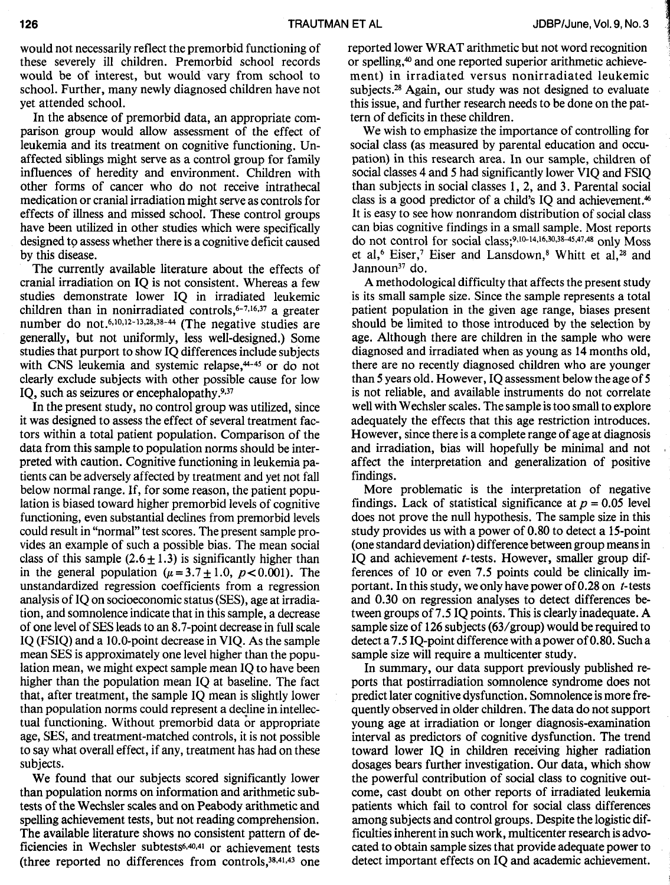**, and the contract of** 

l

would not necessarily reflect the premorbid functioning of these severely ill children. Premorbid school records would be of interest, but would vary from school to school. Further, many newly diagnosed children have not yet attended school.

In the absence of premorbid data, an appropriate comparison group would allow assessment of the effect of leukemia and its treatment on cognitive functioning. Unaffected siblings might serve as a control group for family influences of heredity and environment. Children with other forms of cancer who do not receive intrathecal medication or cranial irradiation might serve as controls for effects of illness and missed school. These control groups have been utilized in other studies which were specifically designed *t9* assess whether there is a cognitive deficit caused by this disease.

The currently available literature about the effects of cranial irradiation on IQ is not consistent. Whereas a few studies demonstrate lower IQ in irradiated leukemic children than in nonirradiated controls,<sup>6-7,16,37</sup> a greater number do not.<sup>6,10,12-13,28,38-44</sup> (The negative studies are generally, but not uniformly, less well-designed.) Some studies that purport to show IQ differences include subjects with CNS leukemia and systemic relapse,<sup>44-45</sup> or do not clearly exclude subjects with other possible cause for low IQ, such as seizures or encephalopathy.9.31

In the present study, no control group was utilized, since it was designed to assess the effect of several treatment factors within a total patient population. Comparison of the data from this sample to population norms should be interpreted with caution. Cognitive functioning in leukemia patients can be adversely affected by treatment and yet not fall below normal range. If, for some reason, the patient population is biased toward higher premorbid levels of cognitive functioning, even substantial declines from premorbid levels could result in "normal" test scores. The present sample provides an example of such a possible bias. The mean social class of this sample  $(2.6 \pm 1.3)$  is significantly higher than in the general population ( $\mu = 3.7 \pm 1.0$ ,  $p < 0.001$ ). The unstandardized regression coefficients from a regression analysis of IQ on socioeconomic status (SES), age at irradiation, and somnolence indicate that in this sample, a decrease of one level of SES leads to an 8. 7-point decrease in full scale IQ (FSIQ) and a 10.0-point decrease in VIQ. As the sample mean SES is approximately one level higher than the population mean, we might expect sample mean IQ to have been higher than the population mean IQ at baseline. The fact that, after treatment, the sample IQ mean is slightly lower than population norms could represent a decline in.intellectual functioning. Without premorbid data or appropriate age, SES, and treatment-matched controls, it is not possible to say what overall effect, if any, treatment has had on these subjects.

We found that our subjects scored significantly lower than population norms on information and arithmetic subtests of the Wechsler scales and on Peabody arithmetic and spelling achievement tests, but not reading comprehension. The available literature shows no consistent pattern of deficiencies in Wechsler subtests<sup>6,40,41</sup> or achievement tests (three reported no differences from controls,38.4l,43 one reported lower WRAT arithmetic but not word recognition or spelling,40 and one reported superior arithmetic achievement) in irradiated versus nonirradiated leukemic subjects.28 Again, our study was not designed to evaluate this issue, and further research needs to be done on the pattern of deficits in these children.

We wish to emphasize the importance of controlling for social class (as measured by parental education and occupation) in this research area. In our sample, children of social classes 4 and 5 had significantly lower VIQ and FSIQ than subjects in social classes 1, 2, and 3. Parental social class is a good predictor of a child's IQ and achievement.46 It is easy to see how nonrandom distribution of social class can bias cognitive findings in a small sample. Most reports do not control for social class;<sup>9,10-14,16,30,38-45,47,48</sup> only Moss et al,<sup>6</sup> Eiser,<sup>7</sup> Eiser and Lansdown,<sup>8</sup> Whitt et al,<sup>28</sup> and Jannoun<sup>37</sup> do.

A methodological difficulty that affects the present study is its small sample size. Since the sample represents a total patient population in the given age range, biases present should be limited to those introduced by the selection by age. Although there are children in the sample who were diagnosed and irradiated when as young as 14 months old, there are no recently diagnosed children who are younger than 5 years old. However, IQ assessment below the age of 5 is not reliable, and available instruments do not correlate well with Wechsler scales. The sample is too small to explore adequately the effecis that this age restriction introduces. However, since there is a complete range of age at diagnosis and irradiation, bias will hopefully be minimal and not affect the interpretation and generalization of positive findings.

More problematic is the interpretation of negative findings. Lack of statistical significance at  $p = 0.05$  level does not prove the null hypothesis. The sample size in this study provides us with a power of 0.80 to detect a 15-point (one standard deviation) difference between group means in IQ and achievement *t*-tests. However, smaller group differences of 10 or even 7.5 points could be clinically important. In this study, we only have power of 0.28 on *t-*tests and 0.30 on regression analyses to detect differences between groups of 7 .5 IQ points. This is clearly inadequate. A sample size of 126 subjects (63/group) would be required to detect a  $7.5$  IQ-point difference with a power of 0.80. Such a sample size will require a multicenter study.

In summary, our data support previously published reports that postirradiation somnolence syndrome does not predict later cognitive dysfunction. Somnolence is more frequently observed in older children. The data do not support young age at irradiation or longer diagnosis-examination interval as predictors of cognitive dysfunction. The trend toward lower IQ in children receiving higher radiation dosages bears further investigation. Our data, which show the powerful contribution of social class to cognitive outcome, cast doubt on other reports of irradiated leukemia patients which fail to control for social class differences among subjects and control groups. Despite the logistic difficulties inherent in such work, multicenter research is advocated to obtain sample sizes that provide adequate power to detect important effects on IQ and academic achievement.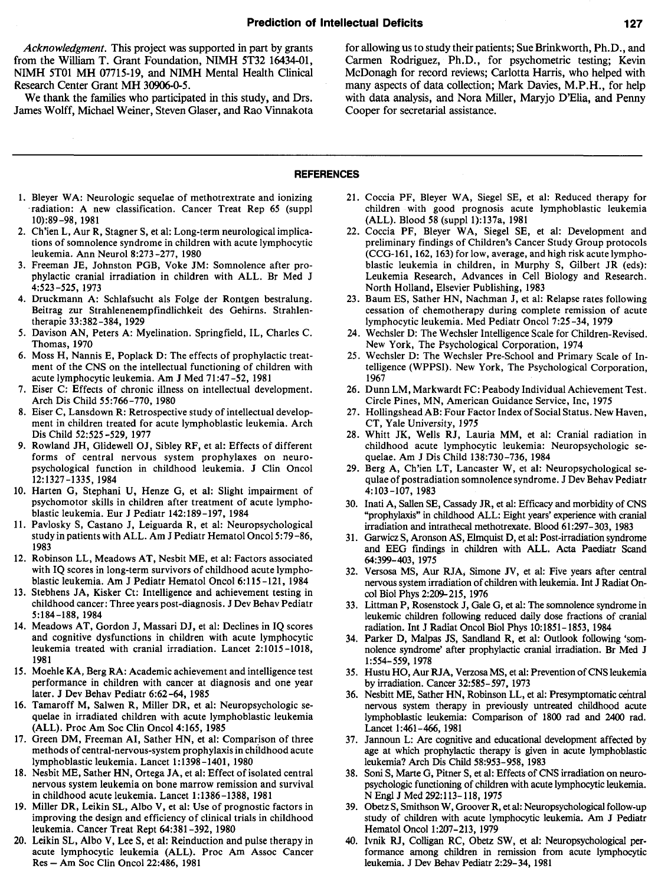*Acknowledgment.* This project was supported in part by grants from the William T. Grant Foundation, NIMH 5T32 16434-01, NIMH 5T01 MH 07715-19, and NIMH Mental Health Clinical Research Center Grant MH 30906-0-5.

We thank the families who participated in this study, and Drs. James Wolff, Michael Weiner, Steven Glaser, and Rao Vinnakota for allowing us to study their patients; Sue Brinkworth, Ph.D., and Carmen Rodriguez, Ph.D., for psychometric testing; Kevin McDonagh for record reviews; Carlotta Harris, who helped with many aspects of data collection; Mark Davies, M.P.H., for help with data analysis, and Nora Miller, Maryjo D'Elia, and Penny Cooper for secretarial assistance.

#### **REFERENCES**

- 1. Bleyer WA: Neurologic sequelae of methotrextrate and ionizing ·radiation: A new classification. Cancer Treat Rep 65 (suppl 10):89-98, 1981
- 2. Ch'ien L, Aur R, Stagner S, et al: Long-term neurological implications of somnolence syndrome in children with acute lymphocytic leukemia. Ann Neurol 8:273-277, 1980
- 3. Freeman JE, Johnston PGB, Yoke JM: Somnolence after prophylactic cranial irradiation in children with ALL. Br Med J 4:523-525, 1973
- 4. Druckmann A: Schlafsucht als Folge der Rontgen bestralung. Beitrag zur Strahlenenempfindlichkeit des Gehirns. Strahlentherapie 33:382-384, 1929
- 5. Davison AN, Peters A: Myelination. Springfield, IL, Charles C. Thomas, 1970
- 6. Moss H, Nannis E, Poplack D: The effects of prophylactic treatment of the CNS on the intellectual functioning of children with acute lymphocytic leukemia. Am J Med 71:47-52, 1981
- 7. Eiser C: Effects of chronic illness on intellectual development. Arch Dis Child 55:766-770, 1980
- 8. Eiser C, Lansdown R: Retrospective study of intellectual development in children treated for acute lymphoblastic leukemia. Arch Dis Child 52:525-529, 1977
- 9. Rowland JH, Glidewell OJ, Sibley RF, et al: Effects of different forms of central nervous system prophylaxes on neuropsychological function in childhood leukemia. J Clin Oncol 12: 1327 - 1335, 1984
- 10. Harten G, Stephani U, Henze G, et al: Slight impairment of psychomotor skills in children after treatment of acute lymphoblastic leukemia. Eur J Pediatr 142:189-197, 1984
- 11. Pavlosky S, Castano J, Leiguarda R, et al: Neuropsychological study in patients with ALL. Am J Pediatr Hematol Oncol 5:79-86, 1983
- 12. Robinson LL, Meadows AT, Nesbit ME, et al: Factors associated with IQ scores in long-term survivors of childhood acute lymphoblastic leukemia. Am J Pediatr Hematol Oncol 6:115-121, 1984
- 13. Stebhens JA, Kisker Ct: Intelligence and achievement testing in childhood cancer: Three years post-diagnosis. J Dev Behav Pediatr 5:184-188, 1984
- 14. Meadows AT, Gordon J, Massari DJ, et al: Declines in IQ scores and cognitive dysfunctions in children with acute lymphocytic leukemia treated with cranial irradiation. Lancet 2:1015-1018, 1981
- 15. Moehle KA, Berg RA: Academic achievement and intelligence test performance in children with cancer at diagnosis and one year later. J Dev Behav Pediatr 6:62-64, 1985
- 16. Tamaroff M, Salwen R, Miller DR, et al: Neuropsychologic sequelae in irradiated children with acute lymphoblastic leukemia (ALL). Proc Am Soc Clin Oncol 4:165, 1985
- 17. Green OM, Freeman AI, Sather HN, et al: Comparison of three methods of central-nervous-system prophylaxis in childhood acute lymphoblastic leukemia. Lancet 1:1398-1401, 1980
- 18. Nesbit ME, Sather HN, Ortega JA, et al: Effect of isolated central nervous system leukemia on bone marrow remission and survival in childhood acute leukemia. Lancet 1:1386-1388, 1981
- 19. Miller DR, Leikin SL, Albo V, et al: Use of prognostic factors in improving the design and efficiency of clinical trials in childhood leukemia. Cancer Treat Rept 64:381-392, 1980
- 20. Leikin SL, Albo V, Lee S, et al: Reinduction and pulse therapy in acute lymphocytic leukemia (ALL). Proc Am Assoc Cancer Res -Am Soc Clin Oncol 22:486, 1981
- 21. Coccia PF, Bleyer WA, Siegel SE, et al: Reduced therapy for children with good prognosis acute lymphoblastic leukemia (ALL). Blood 58 (suppl 1):137a, 1981
- 22. Coccia PF, Bleyer WA, Siegel SE, et al: Development and preliminary findings of Children's Cancer Study Group protocols (CCG-161, 162, 163) for low, average, and high risk acutelymphoblastic leukemia in children, in Murphy S, Gilbert JR (eds): Leukemia Research, Advances in Cell Biology and Research. North Holland, Elsevier Publishing, 1983
- 23. Baum ES, Sather HN, Nachman J, et al: Relapse rates following cessation of chemotherapy during complete remission of acute lymphocytic leukemia. Med Pediatr Oncol 7:25-34, 1979
- 24. Wechsler D: The Wechsler Intelligence Scale for Children-Revised. New York, The Psychological Corporation, 1974
- 25. Wechsler D: The Wechsler Pre-School and Primary Scale of Intelligence (WPPSI). New York, The Psychological Corporation, 1967
- 26. Dunn LM, Markwardt FC: Peabody Individual Achievement Test. Circle Pines, MN, American Guidance Service, Inc, 1975
- 27. Hollingshead AB: Four Factor Index of Social Status. New Haven, CT, Yale University, 1975
- 28. Whitt JK, Wells RJ, Lauria MM, et al: Cranial radiation in childhood acute lymphocytic leukemia: Neuropsychologic sequelae. Am J Dis Child 138:730-736, 1984
- 29. Berg A, Ch'ien LT, Lancaster W, et al: Neuropsychological sequlae of postradiation somnolence syndrome. J Dev Behav Pediatr 4:103-107, 1983
- 30. Inati A, Sallen SE, Cassady JR, et al: Efficacy and morbidity of CNS "prophylaxis" in childhood ALL: Eight years' experience with cranial irradiation and intrathecal methotrexate. Blood 61:297-303, 1983
- 31. Garwicz S, Aronson AS, Elmquist D, et al: Post-irradiation syndrome and EEG findings in children with ALL. Acta Paediatr Scand 64:399-403, 1975
- 32. Versosa MS, Aur RJA, Simone JV, et al: Five years after central nervous system irradiation of children with leukemia. Int J Radiat Oncol Biol Phys 2:209-215, 1976
- 33. Littman P, Rosenstock J, Gale G, et al: The somnolence syndrome in leukemic children following reduced daily dose fractions of cranial radiation. Int J Radiat Oncol Biol Phys 10:1851-1853, 1984
- 34. Parker D, Malpas JS, Sandland R, et al: Outlook following 'somnolence syndrome' after prophylactic cranial irradiation. Br Med J 1:554-559, 1978
- 35. Hustu HO, Aur RJA, Verzosa MS, et al: Prevention of CNS leukemia by irradiation. Cancer 32:585-597, 1973
- 36. Nesbitt ME, Sather HN, Robinson LL, et al: Presymptomatic central nervous system therapy in previously untreated childhood acute lymphoblastic leukemia: Comparison of 1800 rad and 2400 rad. Lancet 1:461-466, 1981
- 37. Jannoun L: Are cognitive and educational development affected by age at which prophylactic therapy is given in acute lymphoblastic leukemia? Arch Dis Child 58:953-958, 1983
- 38. Soni S, Marte G, Pitner S, et al: Effects of CNS irradiation on neuropsychologic functioning of children with acute lymphocytic leukemia. N Engl J Med 292:113-118, 1975
- 39. Obetz S, Smithson W, Groover R, et al: Neuropsychological follow-up study of children with acute lymphocytic leukemia. Am J Pediatr Hematol Oncol 1:207-213, 1979
- 40. Ivnik RJ, Colligan RC, Obetz SW, et al: Neuropsychological performance among children in remission from acute lymphocytic leukemia. J Dev Behav Pediatr 2:29-34, 1981